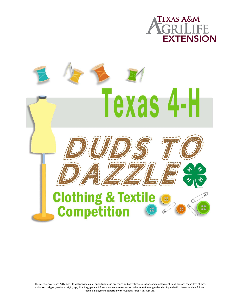



The members of Texas A&M AgriLife will provide equal opportunities in programs and activities, education, and employment to all persons regardless of race, color, sex, religion, national origin, age, disability, genetic information, veteran status, sexual orientation or gender identity and will strive to achieve full and equal employment opportunity throughout Texas A&M AgriLife.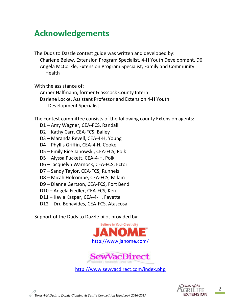## **Acknowledgements**

The Duds to Dazzle contest guide was written and developed by: Charlene Belew, Extension Program Specialist, 4-H Youth Development, D6 Angela McCorkle, Extension Program Specialist, Family and Community Health

With the assistance of:

Amber Halfmann, former Glasscock County Intern Darlene Locke, Assistant Professor and Extension 4-H Youth Development Specialist

The contest committee consists of the following county Extension agents:

- D1 Amy Wagner, CEA-FCS, Randall
- D2 Kathy Carr, CEA-FCS, Bailey
- D3 Maranda Revell, CEA-4-H, Young
- D4 Phyllis Griffin, CEA-4-H, Cooke
- D5 Emily Rice Janowski, CEA-FCS, Polk
- D5 Alyssa Puckett, CEA-4-H, Polk
- D6 Jacquelyn Warnock, CEA-FCS, Ector
- D7 Sandy Taylor, CEA-FCS, Runnels
- D8 Micah Holcombe, CEA-FCS, Milam
- D9 Dianne Gertson, CEA-FCS, Fort Bend
- D10 Angela Fiedler, CEA-FCS, Kerr
- D11 Kayla Kaspar, CEA-4-H, Fayette
- D12 Dru Benavides, CEA-FCS, Atascosa

Support of the Duds to Dazzle pilot provided by:





<http://www.sewvacdirect.com/index.php>

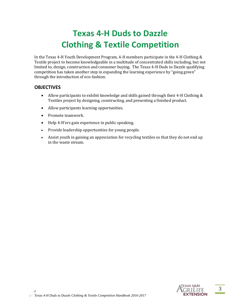# **Texas 4-H Duds to Dazzle Clothing & Textile Competition**

In the Texas 4-H Youth Development Program, 4-H members participate in the 4-H Clothing & Textile project to become knowledgeable in a multitude of concentrated skills including, but not limited to, design, construction and consumer buying. The Texas 4-H Duds to Dazzle qualifying competition has taken another step in expanding the learning experience by "going green" through the introduction of eco-fashion.

#### **OBJECTIVES**

- Allow participants to exhibit knowledge and skills gained through their 4-H Clothing & Textiles project by designing, constructing, and presenting a finished product.
- Allow participants learning opportunities.
- Promote teamwork.
- Help 4-H'ers gain experience in public speaking.
- Provide leadership opportunities for young people.
- Assist youth in gaining an appreciation for recycling textiles so that they do not end up in the waste stream.

3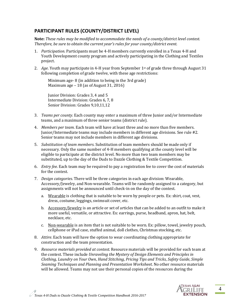#### **PARTICIPANT RULES (COUNTY/DISTRICT LEVEL)**

**Note:** *These rules may be modified to accommodate the needs of a county/district level contest. Therefore, be sure to obtain the current year's rules for your county/district event.*

- 1. *Participation*. Participants must be 4-H members currently enrolled in a Texas 4-H and Youth Development county program and actively participating in the Clothing and Textiles project.
- 2. *Age*. Youth may participate in 4-H year from September 1st of grade three through August 31 following completion of grade twelve, with these age restrictions:

Minimum age- 8 (in addition to being in the 3rd grade) Maximum age – 18 (as of August 31, 2016)

Junior Division: Grades 3, 4 and 5 Intermediate Division: Grades 6, 7, 8 Senior Division: Grades 9,10,11,12

- 3. *Teams per county*. Each county may enter a maximum of three Junior and/or Intermediate teams, and a maximum of three senior teams (district rule).
- 4. *Members per team*. Each team will have at least three and no more than five members. Junior/Intermediate teams may include members in different age divisions. See rule #2. Senior teams may not include members in different age divisions.
- 5. *Substitution of team members*. Substitution of team members should be made only if necessary. Only the same number of 4-H members qualifying at the county level will be eligible to participate at the district level. No more than two team members may be substituted, up to the day of the Duds to Dazzle Clothing & Textile Competition.
- 6. *Entry fee*. Each team may be required to pay a registration fee to cover the cost of materials for the contest.
- 7. *Design categories*. There will be three categories in each age division: Wearable, Accessory/Jewelry, and Non-wearable. Teams will be randomly assigned to a category, but assignments will not be announced until check-in on the day of the contest.
	- a. Wearable is clothing that is suitable to be worn by people or pets. Ex: shirt, coat, vest, dress, costume, leggings, swimsuit cover, etc.
	- b. Accessory/Jewelry is an article or set of articles that can be added to an outfit to make it more useful, versatile, or attractive. Ex: earrings, purse, headband, apron, hat, belt, necklace, etc.
	- c. Non-wearable is an item that is not suitable to be worn. Ex: pillow, towel, jewelry pouch, cellphone or iPad case, stuffed animal, doll clothes, Christmas stocking, etc.
- 8. *Attire*. Each team will have the option to wear coordinating clothing appropriate for construction and the team presentation.
- 9. *Resource materials provided at contest*. Resource materials will be provided for each team at the contest. These include *Unraveling the Mystery of Design Elements and Principles in Clothing*, *Laundry on Your Own*, *Hand Stitching*, *Pricing Tips and Tricks*, *Safety Guide*, *Simple Seaming Techniques and Planning and Presentation Worksheet*. No other resource materials will be allowed. Teams may not use their personal copies of the resources during the

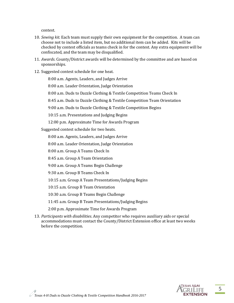contest.

- 10. *Sewing kit.* Each team must supply their own equipment for the competition. A team can choose not to include a listed item, but no additional item can be added. Kits will be checked by contest officials as teams check in for the contest. Any extra equipment will be confiscated, and the team may be disqualified.
- 11. *Awards*. County/District awards will be determined by the committee and are based on sponsorships.
- 12. Suggested contest schedule for one heat.

8:00 a.m. Agents, Leaders, and Judges Arrive

8:00 a.m. Leader Orientation, Judge Orientation

8:00 a.m. Duds to Dazzle Clothing & Textile Competition Teams Check In

8:45 a.m. Duds to Dazzle Clothing & Textile Competition Team Orientation

9:00 a.m. Duds to Dazzle Clothing & Textile Competition Begins

10:15 a.m. Presentations and Judging Begins

12:00 p.m. Approximate Time for Awards Program

Suggested contest schedule for two heats.

8:00 a.m. Agents, Leaders, and Judges Arrive

8:00 a.m. Leader Orientation, Judge Orientation

8:00 a.m. Group A Teams Check In

8:45 a.m. Group A Team Orientation

9:00 a.m. Group A Teams Begin Challenge

9:30 a.m. Group B Teams Check In

10:15 a.m. Group A Team Presentations/Judging Begins

10:15 a.m. Group B Team Orientation

10:30 a.m. Group B Teams Begin Challenge

11:45 a.m. Group B Team Presentations/Judging Begins

2:00 p.m. Approximate Time for Awards Program

13. *Participants with disabilities*. Any competitor who requires auxiliary aids or special accommodations must contact the County/District Extension office at least two weeks before the competition.

5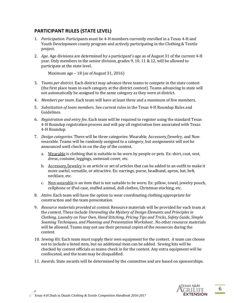#### **PARTICIPANT RULES (STATE LEVEL)**

- 1. *Participation*. Participants must be 4-H members currently enrolled in a Texas 4-H and Youth Development county program and actively participating in the Clothing & Textile project.
- 2. *Age*. Age divisions are determined by a participant's age as of August 31 of the current 4-H year. Only members in the senior division, grades 9, 10, 11 & 12, will be allowed to participate at the state level.

Maximum age – 18 (as of August 31, 2016)

- 3. *Teams per district*. Each district may advance three teams to compete in the state contest (the first place team in each category at the district contest). Teams advancing to state will not automatically be assigned to the same category as they were at district.
- 4. *Members per team*. Each team will have at least three and a maximum of five members.
- 5. *Substitution of team members*. See current rules in the Texas 4-H Roundup Rules and Guidelines.
- 6. *Registration and entry fee*. Each team will be required to register using the standard Texas 4-H Roundup registration process and will pay all registration fees associated with Texas 4-H Roundup.
- 7. *Design categories*. There will be three categories: Wearable, Accessory/Jewelry, and Nonwearable. Teams will be randomly assigned to a category, but assignments will not be announced until check-in on the day of the contest.
	- a. Wearable is clothing that is suitable to be worn by people or pets. Ex: shirt, coat, vest, dress, costume, leggings, swimsuit cover, etc.
	- b. Accessory/Jewelry is an article or set of articles that can be added to an outfit to make it more useful, versatile, or attractive. Ex: earrings, purse, headband, apron, hat, belt, necklace, etc.
	- c. Non-wearable is an item that is not suitable to be worn. Ex: pillow, towel, jewelry pouch, cellphone or iPad case, stuffed animal, doll clothes, Christmas stocking, etc.
- 8. *Attire*. Each team will have the option to wear coordinating clothing appropriate for construction and the team presentation.
- 9. *Resource materials provided at contest.* Resource materials will be provided for each team at the contest. These include *Unraveling the Mystery of Design Elements and Principles in Clothing*, *Laundry on Your Own*, *Hand Stitching*, *Pricing Tips and Tricks*, *Safety Guide*, *Simple Seaming Techniques, and Planning and Presentation Worksheet* . No other resource materials will be allowed. Teams may not use their personal copies of the resources during the contest.
- 10. *Sewing Kit*. Each team must supply their own equipment for the contest. A team can choose not to include a listed item, but no additional item can be added. Sewing kits will be checked by contest officials as teams check in for the contest. Any extra equipment will be confiscated, and the team may be disqualified.
- 11. *Awards*. State awards will be determined by the committee and are based on sponsorships.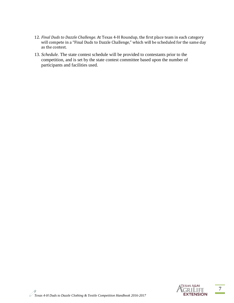- 12. *Final Duds to Dazzle Challenge.* At Texas 4-H Roundup, the first place team in each category will compete in a "Final Duds to Dazzle Challenge," which will be scheduled for the same day as the contest.
- 13. *Schedule.* The state contest schedule will be provided to contestants prior to the competition, and is set by the state contest committee based upon the number of participants and facilities used.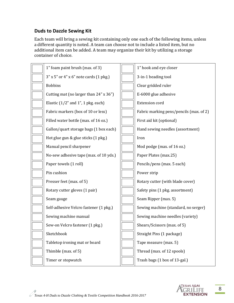#### **Duds to Dazzle Sewing Kit**

Each team will bring a sewing kit containing only one each of the following items, unless a different quantity is noted. A team can choose not to include a listed item, but no additional item can be added. A team may organize their kit by utilizing a storage container of choice.

| 1" foam paint brush (max. of 3)           | 1" hook and eye closer                  |
|-------------------------------------------|-----------------------------------------|
| $3''$ x 5" or 4" x 6" note cards (1 pkg.) | 3-in-1 beading tool                     |
| <b>Bobbins</b>                            | Clear gridded ruler                     |
| Cutting mat (no larger than 24" x 36")    | E-6000 glue adhesive                    |
| Elastic $(1/2$ " and 1", 1 pkg. each)     | <b>Extension cord</b>                   |
| Fabric markers (box of 10 or less)        | Fabric marking pens/pencils (max. of 2) |
| Filled water bottle (max. of 16 oz.)      | First aid kit (optional)                |
| Gallon/quart storage bags (1 box each)    | Hand sewing needles (assortment)        |
| Hot glue gun & glue sticks (1 pkg.)       | Iron                                    |
| Manual pencil sharpener                   | Mod podge (max. of 16 oz.)              |
| No-sew adhesive tape (max. of 10 yds.)    | Paper Plates (max.25)                   |
| Paper towels (1 roll)                     | Pencils/pens (max. 5 each)              |
| Pin cushion                               | Power strip                             |
| Presser feet (max. of 5)                  | Rotary cutter (with blade cover)        |
| Rotary cutter gloves (1 pair)             | Safety pins (1 pkg. assortment)         |
| Seam gauge                                | Seam Ripper (max. 5)                    |
| Self-adhesive Velcro fastener (1 pkg.)    | Sewing machine (standard, no serger)    |
| Sewing machine manual                     | Sewing machine needles (variety)        |
| Sew-on Velcro fastener (1 pkg.)           | Shears/Scissors (max. of 5)             |
| Sketchbook                                | Straight Pins (1 package)               |
| Tabletop ironing mat or board             | Tape measure (max. 5)                   |
| Thimble (max. of 5)                       | Thread (max. of 12 spools)              |
| Timer or stopwatch                        | Trash bags (1 box of 13-gal.)           |
|                                           |                                         |

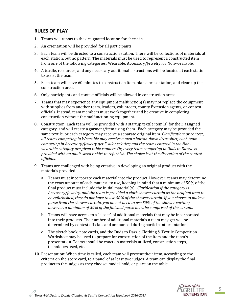#### **RULES OF PLAY**

- 1. Teams will report to the designated location for check-in.
- 2. An orientation will be provided for all participants.
- 3. Each team will be directed to a construction station. There will be collections of materials at each station, but no pattern. The materials must be used to represent a constructed item from one of the following categories: Wearable, Accessory/Jewelry, or Non-wearable.
- 4. A textile, resources, and any necessary additional instructions will be located at each station to assist the team.
- 5. Each team will have 60 minutes to construct an item, plan a presentation, and clean up the construction area.
- 6. Only participants and contest officials will be allowed in construction areas.
- 7. Teams that may experience any equipment malfunction(s) may not replace the equipment with supplies from another team, leaders, volunteers, county Extension agents, or contest officials. Instead, team members must work together and be creative in completing construction without the malfunctioning equipment.
- 8. Construction: Each team will be provided with a startup textile item(s) for their assigned category, and will create a garment/item using them. Each category may be provided the same textile, or each category may receive a separate original item. *Clarification: at contest, all teams competing in Wearable may receive a men's button-down dress shirt; each team competing in Accessory/Jewelry get 5 silk neck ties; and the teams entered in the Nonwearable category are given table runners. Or, every team competing in Duds to Dazzle is provided with an adult-sized t-shirt to refurbish. The choice is at the discretion of the contest officials.*
- 9. Teams are challenged with being creative in developing an original product with the materials provided.
	- a. Teams must incorporate each material into the product. However, teams may determine the exact amount of each material to use, keeping in mind that a minimum of 50% of the final product must include the initial material(s). *Clarification if the category is Accessory/Jewelry, and the team is provided a cloth shower curtain as the original item to be refurbished, they do not have to use 50% of the shower curtain. If you choose to make a purse from the shower curtain, you do not need to use 50% of the shower curtain; however, a minimum of 50% of the finished purse must be comprised of the curtain.*
	- b. Teams will have access to a "closet" of additional materials that may be incorporated into their products. The number of additional materials a team may get will be determined by contest officials and announced during participant orientation.
	- c. The sketch book, note cards, and the Duds to Dazzle Clothing & Textile Competition Worksheet may be used to prepare for construction of the item and the team's presentation. Teams should be exact on materials utilized, construction steps, techniques used, etc.
- 10. Presentation: When time is called, each team will present their item, according to the criteria on the score card, to a panel of at least two judges. A team can display the final product to the judges as they choose: model, hold, or place on the table.

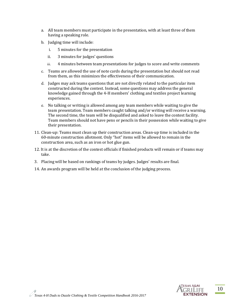- a. All team members must participate in the presentation, with at least three of them having a speaking role.
- b. Judging time will include:
	- i. 5 minutes for the presentation
	- ii. 3 minutes for judges' questions
	- iii. 4 minutes between team presentations for judges to score and write comments
- c. Teams are allowed the use of note cards during the presentation but should not read from them, as this minimizes the effectiveness of their communication.
- d. Judges may ask teams questions that are not directly related to the particular item constructed during the contest. Instead, some questions may address the general knowledge gained through the 4-H members' clothing and textiles project learning experiences.
- e. No talking or writing is allowed among any team members while waiting to give the team presentation. Team members caught talking and/or writing will receive a warning. The second time, the team will be disqualified and asked to leave the contest facility. Team members should not have pens or pencils in their possession while waiting to give their presentation.
- 11. Clean-up: Teams must clean up their construction areas. Clean-up time is included in the 60-minute construction allotment. Only "hot" items will be allowed to remain in the construction area, such as an iron or hot glue gun.
- 12. It is at the discretion of the contest officials if finished products will remain or if teams may take.
- 3. Placing will be based on rankings of teams by judges. Judges' results are final.
- 14. An awards program will be held at the conclusion of the judging process.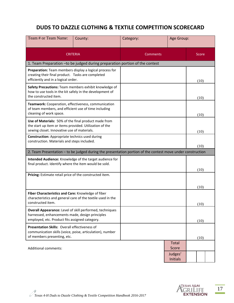### **DUDS TO DAZZLE CLOTHING & TEXTILE COMPETITION SCORECARD**

| Team # or Team Name:                                                                                                                                           | County:                                                 | Category: | Age Group:                 |  |       |  |  |  |
|----------------------------------------------------------------------------------------------------------------------------------------------------------------|---------------------------------------------------------|-----------|----------------------------|--|-------|--|--|--|
|                                                                                                                                                                | <b>CRITERIA</b>                                         | Comments  |                            |  | Score |  |  |  |
| 1. Team Preparation - to be judged during preparation portion of the contest                                                                                   |                                                         |           |                            |  |       |  |  |  |
| Preparation: Team members display a logical process for<br>creating their final product. Tasks are completed<br>efficiently and in a logical order.            |                                                         |           |                            |  | (10)  |  |  |  |
| how to use tools in the kit safely in the development of<br>the constructed item.                                                                              | Safety Precautions: Team members exhibit knowledge of   |           |                            |  | (10)  |  |  |  |
| Teamwork: Cooperation, effectiveness, communication<br>of team members, and efficient use of time including<br>cleaning of work space.                         |                                                         |           |                            |  | (10)  |  |  |  |
| Use of Materials: 50% of the final product made from<br>the start up item or items provided. Utilization of the<br>sewing closet. Innovative use of materials. |                                                         |           |                            |  | (10)  |  |  |  |
| <b>Construction:</b> Appropriate technics used during<br>construction. Materials and steps included.                                                           |                                                         |           |                            |  | (10)  |  |  |  |
| 2. Team Presentation - to be judged during the presentation portion of the contest move under construction                                                     |                                                         |           |                            |  |       |  |  |  |
| final product. Identify where the item would be sold.                                                                                                          | Intended Audience: Knowledge of the target audience for |           |                            |  |       |  |  |  |
| Pricing: Estimate retail price of the constructed item.                                                                                                        |                                                         |           |                            |  | (10)  |  |  |  |
|                                                                                                                                                                |                                                         |           |                            |  | (10)  |  |  |  |
| Fiber Characteristics and Care: Knowledge of fiber<br>characteristics and general care of the textile used in the<br>constructed item.                         |                                                         |           |                            |  | (10)  |  |  |  |
| Overall Appearance: Level of skill performed, techniques<br>harnessed, enhancements made, design principles<br>employed, etc. Product fits assigned category.  |                                                         |           |                            |  | (10)  |  |  |  |
| Presentation Skills: Overall effectiveness of<br>communication skills (voice, poise, articulation), number<br>of members presenting, etc.                      |                                                         |           |                            |  | (10)  |  |  |  |
| <b>Additional comments:</b>                                                                                                                                    |                                                         |           | Total<br>Score             |  |       |  |  |  |
|                                                                                                                                                                |                                                         |           | Judges'<br><b>Initials</b> |  |       |  |  |  |



*Texas 4-H Duds to Dazzle Clothing & Textile Competition Handbook 2016-2017*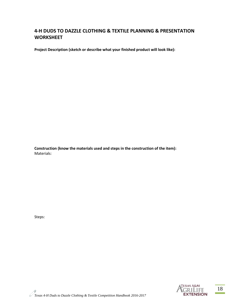#### **4-H DUDS TO DAZZLE CLOTHING & TEXTILE PLANNING & PRESENTATION WORKSHEET**

**Project Description (sketch or describe what your finished product will look like):**

**Construction (know the materials used and steps in the construction of the item):** Materials:

Steps:



*Texas 4-H Duds to Dazzle Clothing & Textile Competition Handbook 2016-2017*